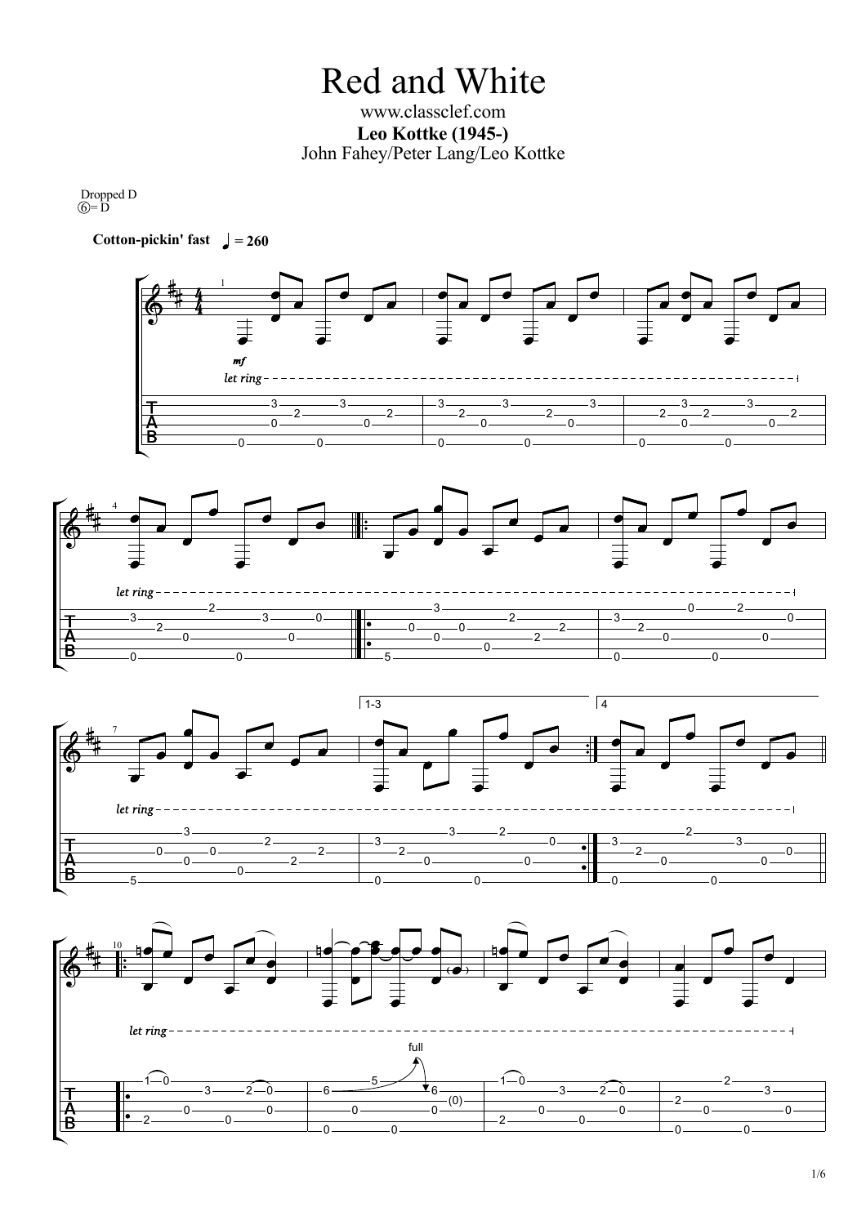## Red and White

www.classclef.com **Leo Kottke (1945-)** John Fahey/Peter Lang/Leo Kottke

Dropped D  $\widehat{O} = \overline{D}$ 

## **Cotton-pickin'**  $\text{fast}$   $= 260$





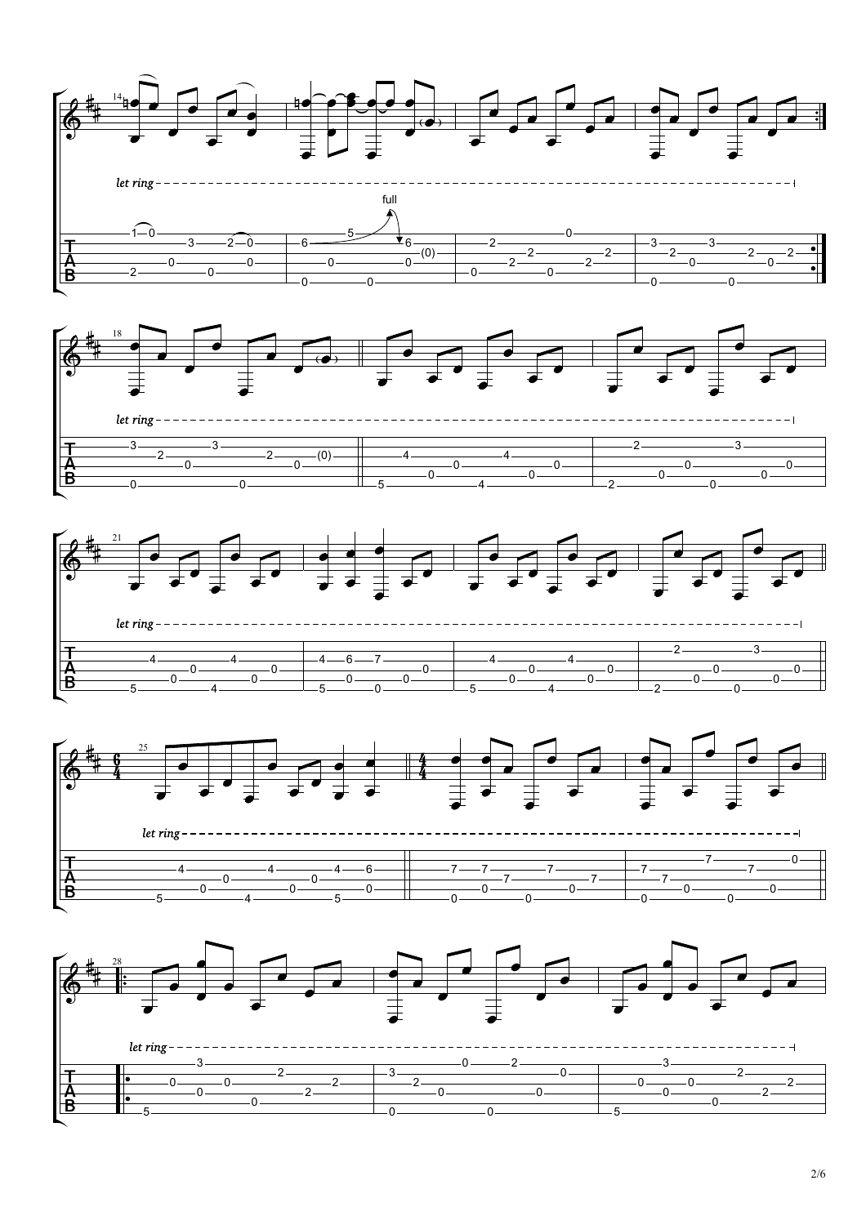







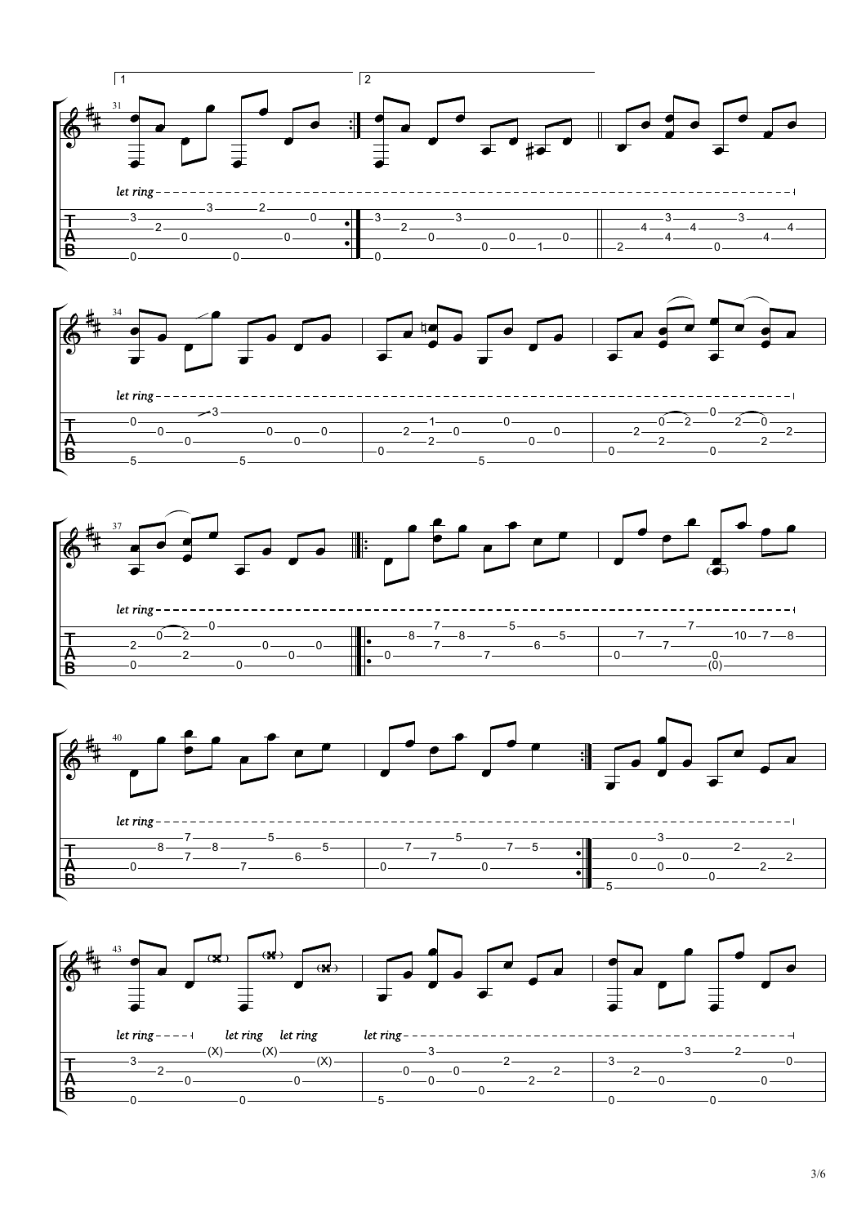







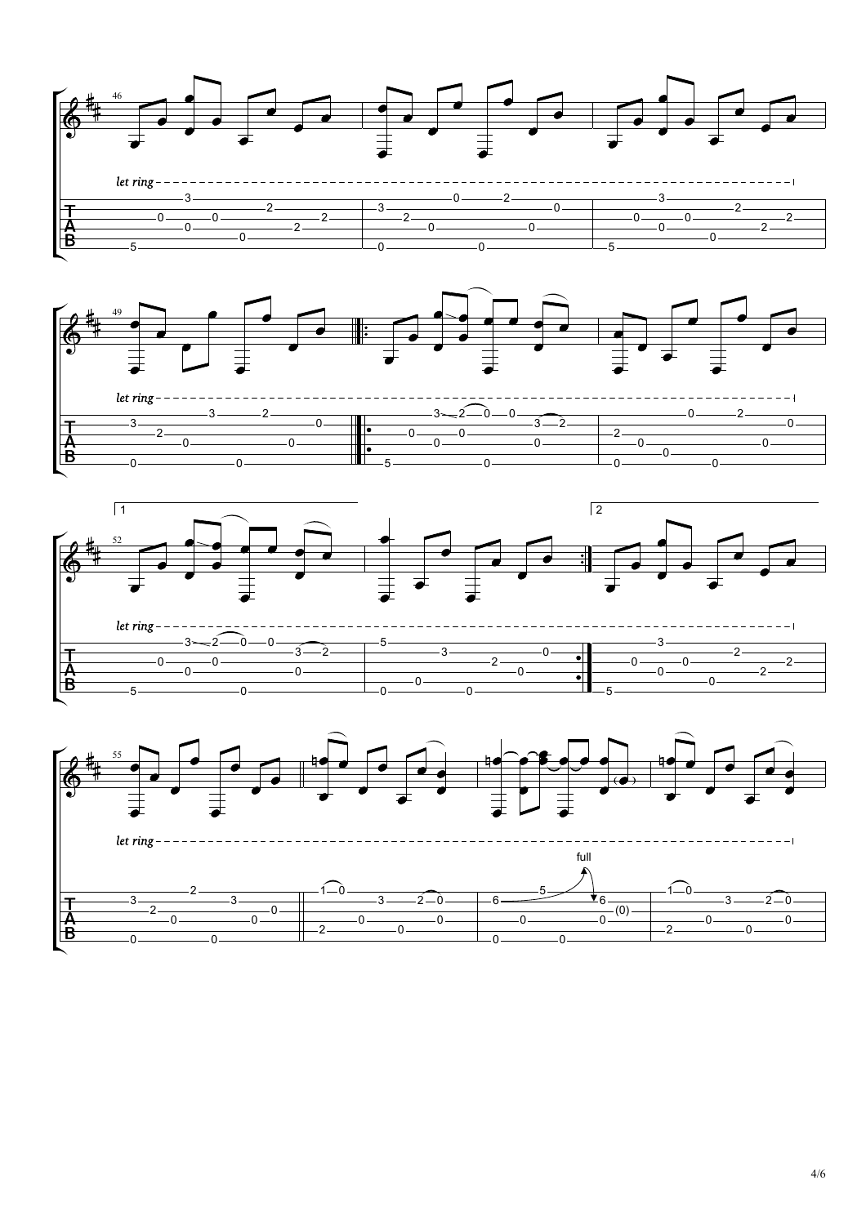





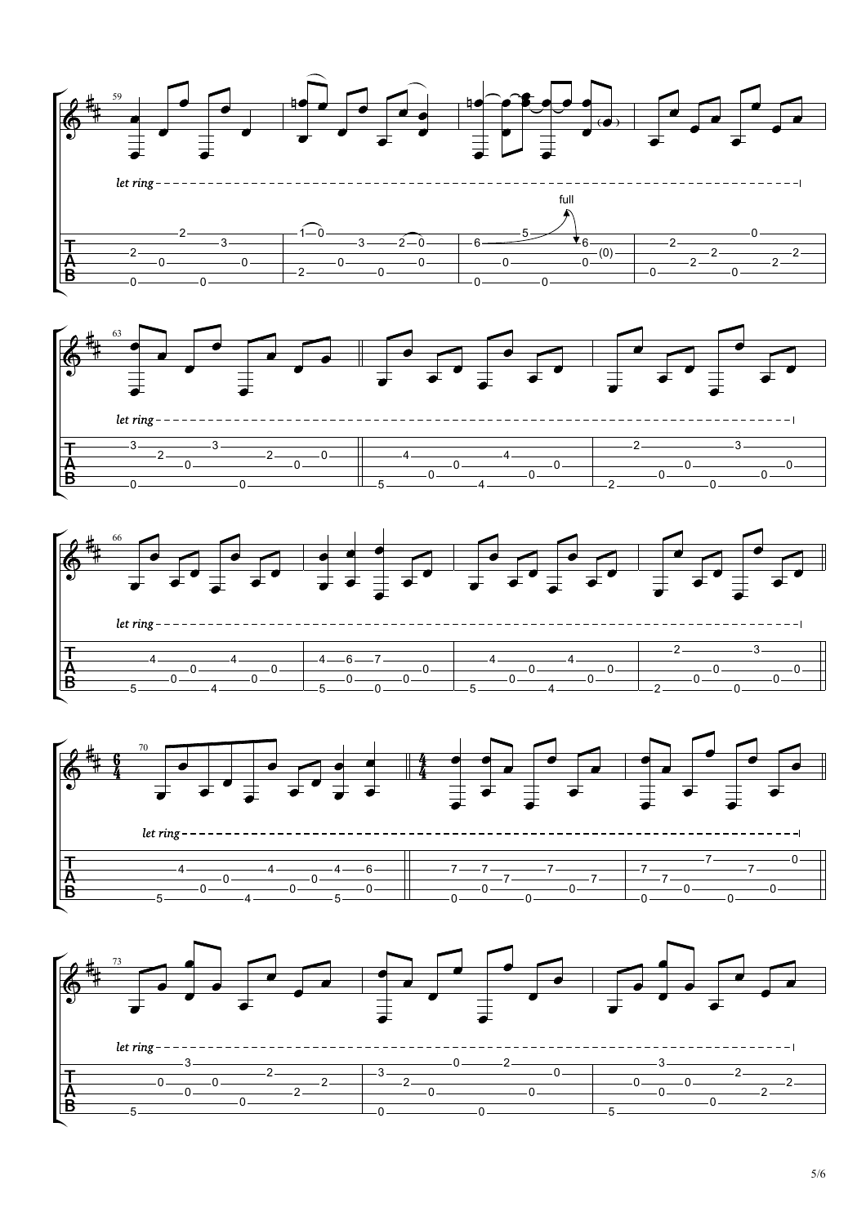